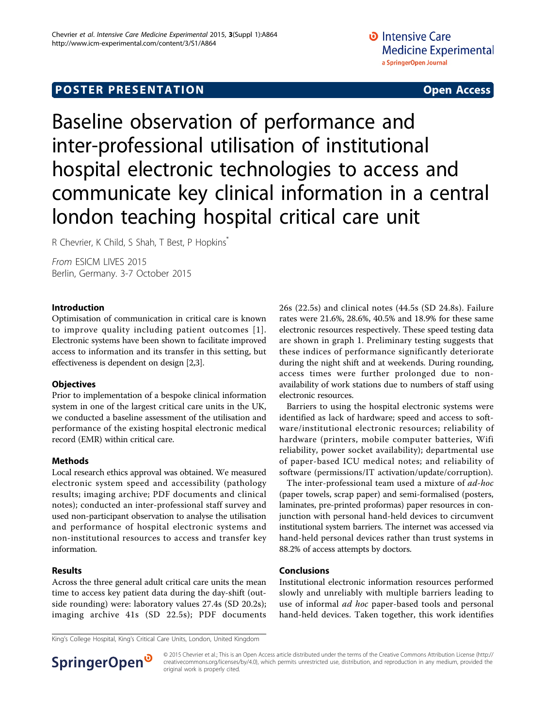# **POSTER PRESENTATION CONSUMING THE SERVICE SERVICE SERVICES**

Baseline observation of performance and inter-professional utilisation of institutional hospital electronic technologies to access and communicate key clinical information in a central london teaching hospital critical care unit

R Chevrier, K Child, S Shah, T Best, P Hopkins<sup>\*</sup>

From ESICM LIVES 2015 Berlin, Germany. 3-7 October 2015

### Introduction

Optimisation of communication in critical care is known to improve quality including patient outcomes [[1\]](#page-1-0). Electronic systems have been shown to facilitate improved access to information and its transfer in this setting, but effectiveness is dependent on design [\[2,3\]](#page-1-0).

### **Objectives**

Prior to implementation of a bespoke clinical information system in one of the largest critical care units in the UK, we conducted a baseline assessment of the utilisation and performance of the existing hospital electronic medical record (EMR) within critical care.

# Methods

Local research ethics approval was obtained. We measured electronic system speed and accessibility (pathology results; imaging archive; PDF documents and clinical notes); conducted an inter-professional staff survey and used non-participant observation to analyse the utilisation and performance of hospital electronic systems and non-institutional resources to access and transfer key information.

# Results

Across the three general adult critical care units the mean time to access key patient data during the day-shift (outside rounding) were: laboratory values 27.4s (SD 20.2s); imaging archive 41s (SD 22.5s); PDF documents 26s (22.5s) and clinical notes (44.5s (SD 24.8s). Failure rates were 21.6%, 28.6%, 40.5% and 18.9% for these same electronic resources respectively. These speed testing data are shown in graph 1. Preliminary testing suggests that these indices of performance significantly deteriorate during the night shift and at weekends. During rounding, access times were further prolonged due to nonavailability of work stations due to numbers of staff using electronic resources.

Barriers to using the hospital electronic systems were identified as lack of hardware; speed and access to software/institutional electronic resources; reliability of hardware (printers, mobile computer batteries, Wifi reliability, power socket availability); departmental use of paper-based ICU medical notes; and reliability of software (permissions/IT activation/update/corruption).

The inter-professional team used a mixture of ad-hoc (paper towels, scrap paper) and semi-formalised (posters, laminates, pre-printed proformas) paper resources in conjunction with personal hand-held devices to circumvent institutional system barriers. The internet was accessed via hand-held personal devices rather than trust systems in 88.2% of access attempts by doctors.

### Conclusions

Institutional electronic information resources performed slowly and unreliably with multiple barriers leading to use of informal *ad hoc* paper-based tools and personal hand-held devices. Taken together, this work identifies

King's College Hospital, King's Critical Care Units, London, United Kingdom



© 2015 Chevrier et al.; This is an Open Access article distributed under the terms of the Creative Commons Attribution License [\(http://](http://creativecommons.org/licenses/by/4.0) [creativecommons.org/licenses/by/4.0](http://creativecommons.org/licenses/by/4.0)), which permits unrestricted use, distribution, and reproduction in any medium, provided the original work is properly cited.